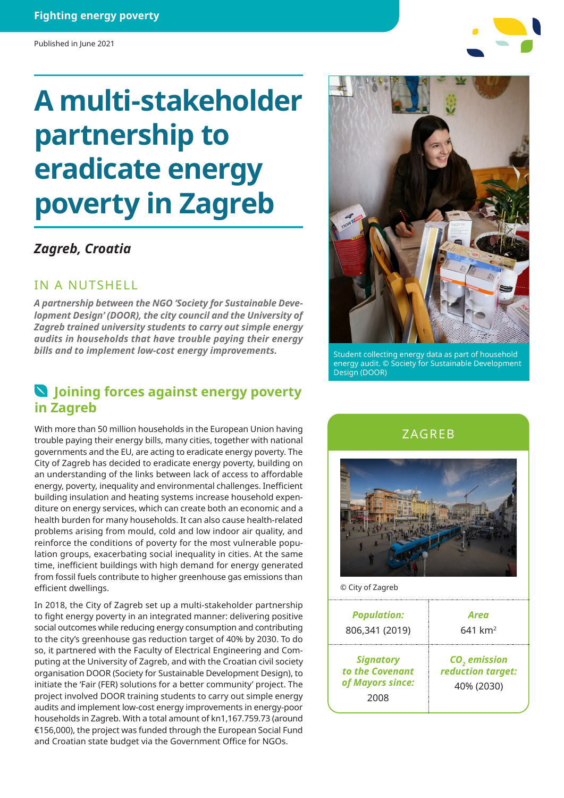# **A multi-stakeholder partnership to eradicate energy poverty in Zagreb**

## *Zagreb, Croatia*

### IN A NUTSHELL

*A partnership between the NGO 'Society for Sustainable Development Design' (DOOR), the city council and the University of Zagreb trained university students to carry out simple energy audits in households that have trouble paying their energy bills and to implement low-cost energy improvements.*

## **Joining forces against energy poverty in Zagreb**

With more than 50 million households in the European Union having trouble paying their energy bills, many cities, together with national governments and the EU, are acting to eradicate energy poverty. The City of Zagreb has decided to eradicate energy poverty, building on an understanding of the links between lack of access to affordable energy, poverty, inequality and environmental challenges. Inefficient building insulation and heating systems increase household expenditure on energy services, which can create both an economic and a health burden for many households. It can also cause health-related problems arising from mould, cold and low indoor air quality, and reinforce the conditions of poverty for the most vulnerable population groups, exacerbating social inequality in cities. At the same time, inefficient buildings with high demand for energy generated from fossil fuels contribute to higher greenhouse gas emissions than efficient dwellings.

In 2018, the City of Zagreb set up a multi-stakeholder partnership to fight energy poverty in an integrated manner: delivering positive social outcomes while reducing energy consumption and contributing to the city's greenhouse gas reduction target of 40% by 2030. To do so, it partnered with the Faculty of Electrical Engineering and Computing at the University of Zagreb, and with the Croatian civil society organisation DOOR (Society for Sustainable Development Design), to initiate the 'Fair (FER) solutions for a better community' project. The project involved DOOR training students to carry out simple energy audits and implement low-cost energy improvements in energy-poor households in Zagreb. With a total amount of kn1,167.759.73 (around €156,000), the project was funded through the European Social Fund and Croatian state budget via the Government Office for NGOs.

Student collecting energy data as part of household energy audit. © Society for Sustainable Development Design (DOOR)

### ZAGREB



© City of Zagreb

| <b>Population:</b>                                              | Area                                                        |
|-----------------------------------------------------------------|-------------------------------------------------------------|
| 806,341 (2019)                                                  | $641 \text{ km}^2$                                          |
| <b>Signatory</b><br>to the Covenant<br>of Mayors since:<br>2008 | CO <sub>2</sub> emission<br>reduction target:<br>40% (2030) |



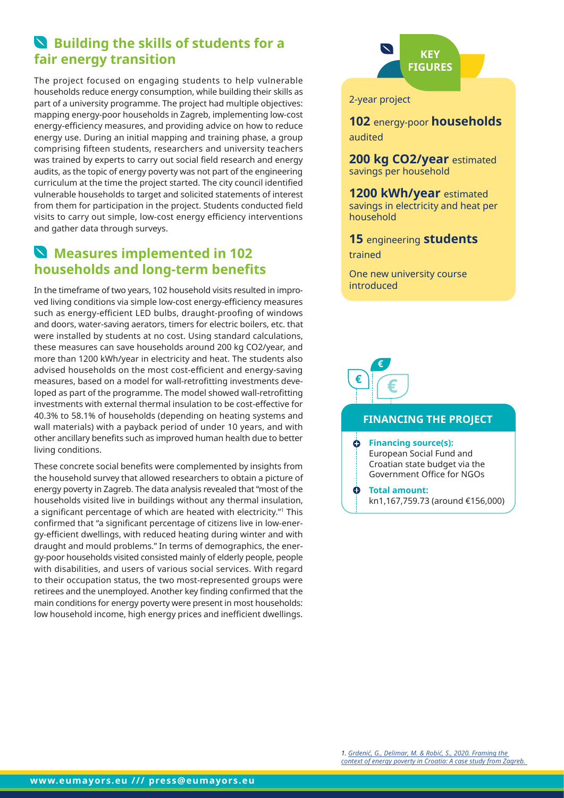## **Building the skills of students for a fair energy transition**

The project focused on engaging students to help vulnerable households reduce energy consumption, while building their skills as part of a university programme. The project had multiple objectives: mapping energy-poor households in Zagreb, implementing low-cost energy-efficiency measures, and providing advice on how to reduce energy use. During an initial mapping and training phase, a group comprising fifteen students, researchers and university teachers was trained by experts to carry out social field research and energy audits, as the topic of energy poverty was not part of the engineering curriculum at the time the project started. The city council identified vulnerable households to target and solicited statements of interest from them for participation in the project. Students conducted field visits to carry out simple, low-cost energy efficiency interventions and gather data through surveys.

# **Measures implemented in 102 households and long-term benefits**

In the timeframe of two years, 102 household visits resulted in improved living conditions via simple low-cost energy-efficiency measures such as energy-efficient LED bulbs, draught-proofing of windows and doors, water-saving aerators, timers for electric boilers, etc. that were installed by students at no cost. Using standard calculations, these measures can save households around 200 kg CO2/year, and more than 1200 kWh/year in electricity and heat. The students also advised households on the most cost-efficient and energy-saving measures, based on a model for wall-retrofitting investments developed as part of the programme. The model showed wall-retrofitting investments with external thermal insulation to be cost-effective for 40.3% to 58.1% of households (depending on heating systems and wall materials) with a payback period of under 10 years, and with other ancillary benefits such as improved human health due to better living conditions.

These concrete social benefits were complemented by insights from the household survey that allowed researchers to obtain a picture of energy poverty in Zagreb. The data analysis revealed that "most of the households visited live in buildings without any thermal insulation, a significant percentage of which are heated with electricity."1 This confirmed that "a significant percentage of citizens live in low-energy-efficient dwellings, with reduced heating during winter and with draught and mould problems." In terms of demographics, the energy-poor households visited consisted mainly of elderly people, people with disabilities, and users of various social services. With regard to their occupation status, the two most-represented groups were retirees and the unemployed. Another key finding confirmed that the main conditions for energy poverty were present in most households: low household income, high energy prices and inefficient dwellings.



2-year project

**102** energy-poor **households**  audited

**200 kg CO2/year** estimated savings per household

**1200 kWh/year** estimated savings in electricity and heat per household

**15** engineering **students**  trained

One new university course introduced



ω

#### **FINANCING THE PROJECT**

**Financing source(s):** European Social Fund and Croatian state budget via the

Government Office for NGOs **Total amount:** kn1,167,759.73 (around €156,000)